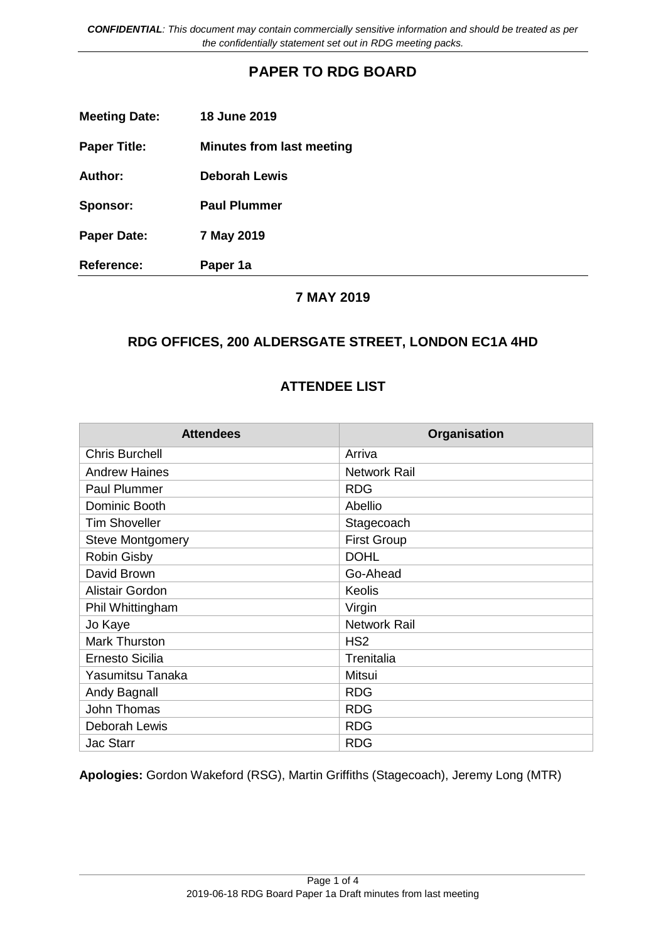*CONFIDENTIAL: This document may contain commercially sensitive information and should be treated as per the confidentially statement set out in RDG meeting packs.*

## **PAPER TO RDG BOARD**

| <b>Meeting Date:</b> | <b>18 June 2019</b>       |
|----------------------|---------------------------|
| <b>Paper Title:</b>  | Minutes from last meeting |
| <b>Author:</b>       | <b>Deborah Lewis</b>      |
| Sponsor:             | <b>Paul Plummer</b>       |
| <b>Paper Date:</b>   | 7 May 2019                |
| <b>Reference:</b>    | Paper 1a                  |

#### **7 MAY 2019**

### **RDG OFFICES, 200 ALDERSGATE STREET, LONDON EC1A 4HD**

#### **ATTENDEE LIST**

| <b>Attendees</b>        | Organisation        |
|-------------------------|---------------------|
| <b>Chris Burchell</b>   | Arriva              |
| <b>Andrew Haines</b>    | <b>Network Rail</b> |
| <b>Paul Plummer</b>     | <b>RDG</b>          |
| Dominic Booth           | Abellio             |
| <b>Tim Shoveller</b>    | Stagecoach          |
| <b>Steve Montgomery</b> | <b>First Group</b>  |
| <b>Robin Gisby</b>      | <b>DOHL</b>         |
| David Brown             | Go-Ahead            |
| Alistair Gordon         | Keolis              |
| Phil Whittingham        | Virgin              |
| Jo Kaye                 | <b>Network Rail</b> |
| <b>Mark Thurston</b>    | HS <sub>2</sub>     |
| <b>Ernesto Sicilia</b>  | Trenitalia          |
| Yasumitsu Tanaka        | Mitsui              |
| Andy Bagnall            | <b>RDG</b>          |
| John Thomas             | <b>RDG</b>          |
| Deborah Lewis           | <b>RDG</b>          |
| <b>Jac Starr</b>        | <b>RDG</b>          |

**Apologies:** Gordon Wakeford (RSG), Martin Griffiths (Stagecoach), Jeremy Long (MTR)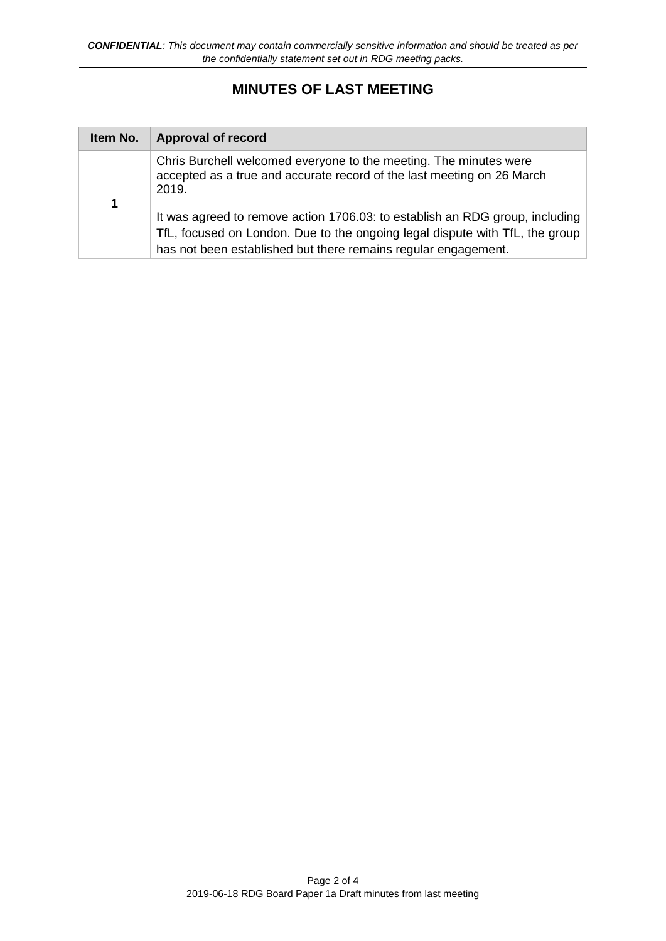# **MINUTES OF LAST MEETING**

| Item No.    | <b>Approval of record</b>                                                                                                                                                                                                      |
|-------------|--------------------------------------------------------------------------------------------------------------------------------------------------------------------------------------------------------------------------------|
| $\mathbf 1$ | Chris Burchell welcomed everyone to the meeting. The minutes were<br>accepted as a true and accurate record of the last meeting on 26 March<br>2019.                                                                           |
|             | It was agreed to remove action 1706.03: to establish an RDG group, including<br>TfL, focused on London. Due to the ongoing legal dispute with TfL, the group<br>has not been established but there remains regular engagement. |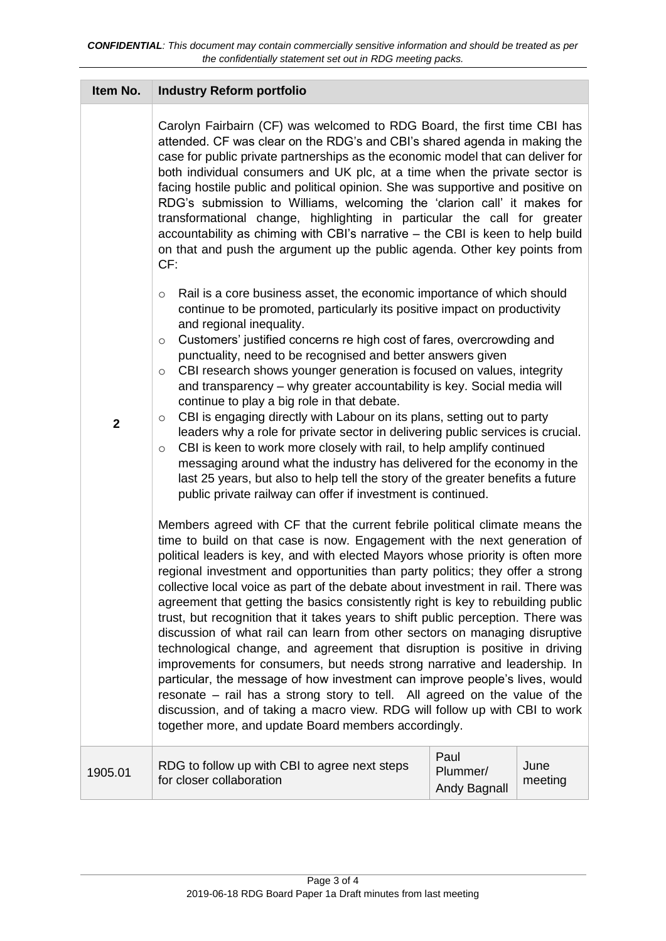| Item No.                | <b>Industry Reform portfolio</b>                                                                                                                                                                                                                                                                                                                                                                                                                                                                                                                                                                                                                                                                                                                                                                                                                                                                                                                                                                                                                                                                                                       |                                  |                 |
|-------------------------|----------------------------------------------------------------------------------------------------------------------------------------------------------------------------------------------------------------------------------------------------------------------------------------------------------------------------------------------------------------------------------------------------------------------------------------------------------------------------------------------------------------------------------------------------------------------------------------------------------------------------------------------------------------------------------------------------------------------------------------------------------------------------------------------------------------------------------------------------------------------------------------------------------------------------------------------------------------------------------------------------------------------------------------------------------------------------------------------------------------------------------------|----------------------------------|-----------------|
|                         | Carolyn Fairbairn (CF) was welcomed to RDG Board, the first time CBI has<br>attended. CF was clear on the RDG's and CBI's shared agenda in making the<br>case for public private partnerships as the economic model that can deliver for<br>both individual consumers and UK plc, at a time when the private sector is<br>facing hostile public and political opinion. She was supportive and positive on<br>RDG's submission to Williams, welcoming the 'clarion call' it makes for<br>transformational change, highlighting in particular the call for greater<br>accountability as chiming with CBI's narrative – the CBI is keen to help build<br>on that and push the argument up the public agenda. Other key points from<br>CF:                                                                                                                                                                                                                                                                                                                                                                                                 |                                  |                 |
| $\overline{\mathbf{2}}$ | Rail is a core business asset, the economic importance of which should<br>$\circ$<br>continue to be promoted, particularly its positive impact on productivity<br>and regional inequality.<br>Customers' justified concerns re high cost of fares, overcrowding and<br>$\circ$<br>punctuality, need to be recognised and better answers given<br>CBI research shows younger generation is focused on values, integrity<br>$\circ$<br>and transparency – why greater accountability is key. Social media will<br>continue to play a big role in that debate.<br>CBI is engaging directly with Labour on its plans, setting out to party<br>O<br>leaders why a role for private sector in delivering public services is crucial.<br>CBI is keen to work more closely with rail, to help amplify continued<br>$\circ$<br>messaging around what the industry has delivered for the economy in the<br>last 25 years, but also to help tell the story of the greater benefits a future<br>public private railway can offer if investment is continued.                                                                                       |                                  |                 |
|                         | Members agreed with CF that the current febrile political climate means the<br>time to build on that case is now. Engagement with the next generation of<br>political leaders is key, and with elected Mayors whose priority is often more<br>regional investment and opportunities than party politics; they offer a strong<br>collective local voice as part of the debate about investment in rail. There was<br>agreement that getting the basics consistently right is key to rebuilding public<br>trust, but recognition that it takes years to shift public perception. There was<br>discussion of what rail can learn from other sectors on managing disruptive<br>technological change, and agreement that disruption is positive in driving<br>improvements for consumers, but needs strong narrative and leadership. In<br>particular, the message of how investment can improve people's lives, would<br>resonate - rail has a strong story to tell. All agreed on the value of the<br>discussion, and of taking a macro view. RDG will follow up with CBI to work<br>together more, and update Board members accordingly. |                                  |                 |
| 1905.01                 | RDG to follow up with CBI to agree next steps<br>for closer collaboration                                                                                                                                                                                                                                                                                                                                                                                                                                                                                                                                                                                                                                                                                                                                                                                                                                                                                                                                                                                                                                                              | Paul<br>Plummer/<br>Andy Bagnall | June<br>meeting |